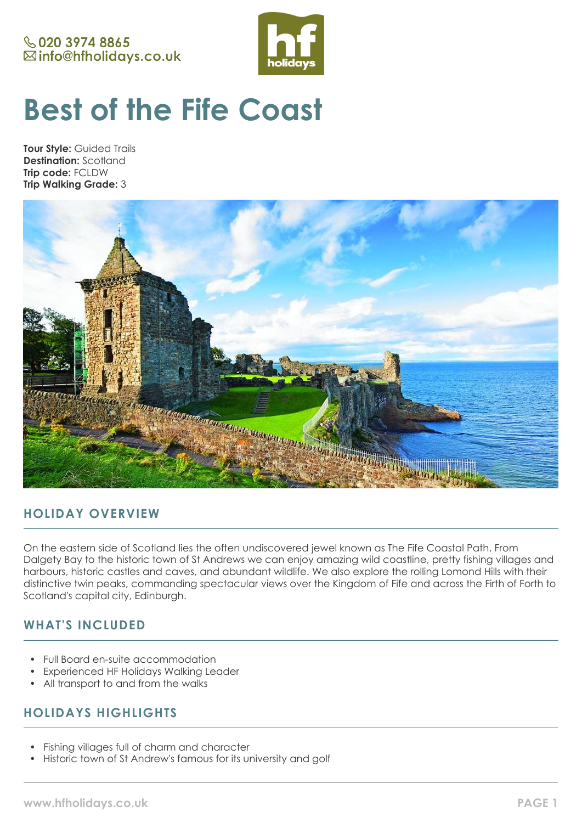# **& 020 3974 8865** ⊠info@hfholidays.co.uk



# **Best of the Fife Coast**

**Tour Style:** Guided Trails **Destination:** Scotland **Trip code:** FCLDW **Trip Walking Grade:** 3



# **HOLIDAY OVERVIEW**

On the eastern side of Scotland lies the often undiscovered jewel known as The Fife Coastal Path. From Dalgety Bay to the historic town of St Andrews we can enjoy amazing wild coastline, pretty fishing villages and harbours, historic castles and caves, and abundant wildlife. We also explore the rolling Lomond Hills with their distinctive twin peaks, commanding spectacular views over the Kingdom of Fife and across the Firth of Forth to Scotland's capital city, Edinburgh.

# **WHAT'S INCLUDED**

- Full Board en-suite accommodation
- Experienced HF Holidays Walking Leader
- All transport to and from the walks

# **HOLIDAYS HIGHLIGHTS**

- Fishing villages full of charm and character
- Historic town of St Andrew's famous for its university and golf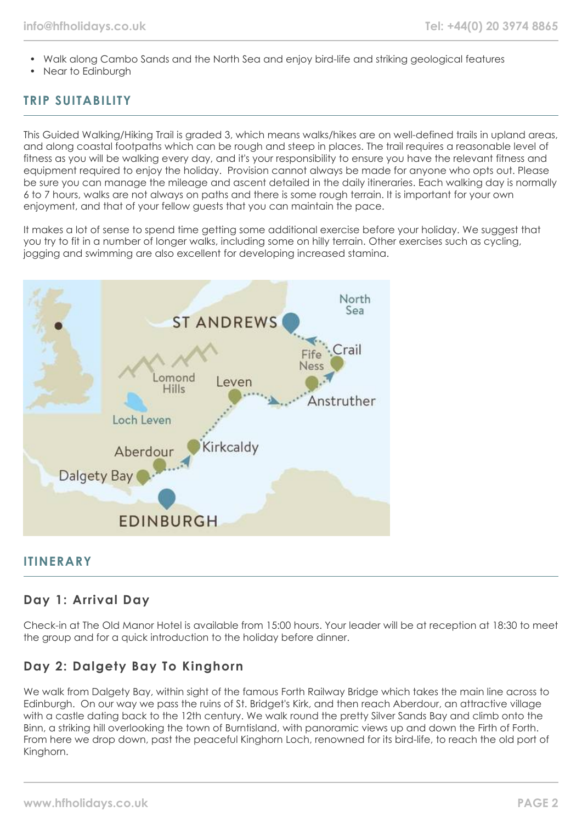- Walk along Cambo Sands and the North Sea and enjoy bird-life and striking geological features
- Near to Edinburgh

# **TRIP SUITABILITY**

This Guided Walking/Hiking Trail is graded 3, which means walks/hikes are on well-defined trails in upland areas, and along coastal footpaths which can be rough and steep in places. The trail requires a reasonable level of fitness as you will be walking every day, and it's your responsibility to ensure you have the relevant fitness and equipment required to enjoy the holiday. Provision cannot always be made for anyone who opts out. Please be sure you can manage the mileage and ascent detailed in the daily itineraries. Each walking day is normally 6 to 7 hours, walks are not always on paths and there is some rough terrain. It is important for your own enjoyment, and that of your fellow guests that you can maintain the pace.

It makes a lot of sense to spend time getting some additional exercise before your holiday. We suggest that you try to fit in a number of longer walks, including some on hilly terrain. Other exercises such as cycling, jogging and swimming are also excellent for developing increased stamina.



## **ITINERARY**

## **Day 1: Arrival Day**

Check-in at The Old Manor Hotel is available from 15:00 hours. Your leader will be at reception at 18:30 to meet the group and for a quick introduction to the holiday before dinner.

# **Day 2: Dalgety Bay To Kinghorn**

We walk from Dalgety Bay, within sight of the famous Forth Railway Bridge which takes the main line across to Edinburgh. On our way we pass the ruins of St. Bridget's Kirk, and then reach Aberdour, an attractive village with a castle dating back to the 12th century. We walk round the pretty Silver Sands Bay and climb onto the Binn, a striking hill overlooking the town of Burntisland, with panoramic views up and down the Firth of Forth. From here we drop down, past the peaceful Kinghorn Loch, renowned for its bird-life, to reach the old port of Kinghorn.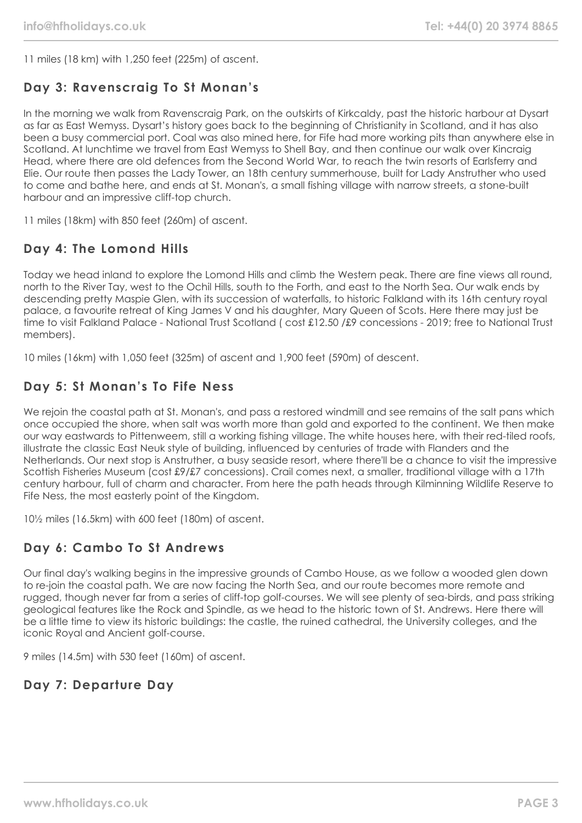11 miles (18 km) with 1,250 feet (225m) of ascent.

# **Day 3: Ravenscraig To St Monan's**

In the morning we walk from Ravenscraig Park, on the outskirts of Kirkcaldy, past the historic harbour at Dysart as far as East Wemyss. Dysart's history goes back to the beginning of Christianity in Scotland, and it has also been a busy commercial port. Coal was also mined here, for Fife had more working pits than anywhere else in Scotland. At lunchtime we travel from East Wemyss to Shell Bay, and then continue our walk over Kincraig Head, where there are old defences from the Second World War, to reach the twin resorts of Earlsferry and Elie. Our route then passes the Lady Tower, an 18th century summerhouse, built for Lady Anstruther who used to come and bathe here, and ends at St. Monan's, a small fishing village with narrow streets, a stone-built harbour and an impressive cliff-top church.

11 miles (18km) with 850 feet (260m) of ascent.

# **Day 4: The Lomond Hills**

Today we head inland to explore the Lomond Hills and climb the Western peak. There are fine views all round, north to the River Tay, west to the Ochil Hills, south to the Forth, and east to the North Sea. Our walk ends by descending pretty Maspie Glen, with its succession of waterfalls, to historic Falkland with its 16th century royal palace, a favourite retreat of King James V and his daughter, Mary Queen of Scots. Here there may just be time to visit Falkland Palace - National Trust Scotland ( cost £12.50 /£9 concessions - 2019; free to National Trust members).

10 miles (16km) with 1,050 feet (325m) of ascent and 1,900 feet (590m) of descent.

# **Day 5: St Monan's To Fife Ness**

We rejoin the coastal path at St. Monan's, and pass a restored windmill and see remains of the salt pans which once occupied the shore, when salt was worth more than gold and exported to the continent. We then make our way eastwards to Pittenweem, still a working fishing village. The white houses here, with their red-tiled roofs, illustrate the classic East Neuk style of building, influenced by centuries of trade with Flanders and the Netherlands. Our next stop is Anstruther, a busy seaside resort, where there'll be a chance to visit the impressive Scottish Fisheries Museum (cost £9/£7 concessions). Crail comes next, a smaller, traditional village with a 17th century harbour, full of charm and character. From here the path heads through Kilminning Wildlife Reserve to Fife Ness, the most easterly point of the Kingdom.

10½ miles (16.5km) with 600 feet (180m) of ascent.

# **Day 6: Cambo To St Andrews**

Our final day's walking begins in the impressive grounds of Cambo House, as we follow a wooded glen down to re-join the coastal path. We are now facing the North Sea, and our route becomes more remote and rugged, though never far from a series of cliff-top golf-courses. We will see plenty of sea-birds, and pass striking geological features like the Rock and Spindle, as we head to the historic town of St. Andrews. Here there will be a little time to view its historic buildings: the castle, the ruined cathedral, the University colleges, and the iconic Royal and Ancient golf-course.

9 miles (14.5m) with 530 feet (160m) of ascent.

# **Day 7: Departure Day**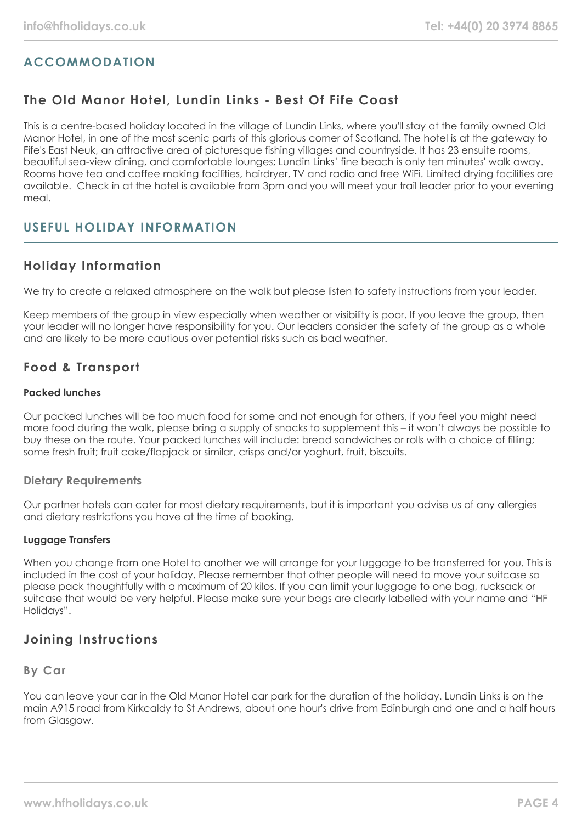# **ACCOMMODATION**

# **The Old Manor Hotel, Lundin Links - Best Of Fife Coast**

This is a centre-based holiday located in the village of Lundin Links, where you'll stay at the family owned Old Manor Hotel, in one of the most scenic parts of this glorious corner of Scotland. The hotel is at the gateway to Fife's East Neuk, an attractive area of picturesque fishing villages and countryside. It has 23 ensuite rooms, beautiful sea-view dining, and comfortable lounges; Lundin Links' fine beach is only ten minutes' walk away. Rooms have tea and coffee making facilities, hairdryer, TV and radio and free WiFi. Limited drying facilities are available. Check in at the hotel is available from 3pm and you will meet your trail leader prior to your evening meal.

# **USEFUL HOLIDAY INFORMATION**

## **Holiday Information**

We try to create a relaxed atmosphere on the walk but please listen to safety instructions from your leader.

Keep members of the group in view especially when weather or visibility is poor. If you leave the group, then your leader will no longer have responsibility for you. Our leaders consider the safety of the group as a whole and are likely to be more cautious over potential risks such as bad weather.

# **Food & Transport**

## **Packed lunches**

Our packed lunches will be too much food for some and not enough for others, if you feel you might need more food during the walk, please bring a supply of snacks to supplement this – it won't always be possible to buy these on the route. Your packed lunches will include: bread sandwiches or rolls with a choice of filling; some fresh fruit; fruit cake/flapjack or similar, crisps and/or yoghurt, fruit, biscuits.

## **Dietary Requirements**

Our partner hotels can cater for most dietary requirements, but it is important you advise us of any allergies and dietary restrictions you have at the time of booking.

## **Luggage Transfers**

When you change from one Hotel to another we will arrange for your luggage to be transferred for you. This is included in the cost of your holiday. Please remember that other people will need to move your suitcase so please pack thoughtfully with a maximum of 20 kilos. If you can limit your luggage to one bag, rucksack or suitcase that would be very helpful. Please make sure your bags are clearly labelled with your name and "HF Holidays".

## **Joining Instructions**

## **By Car**

You can leave your car in the Old Manor Hotel car park for the duration of the holiday. Lundin Links is on the main A915 road from Kirkcaldy to St Andrews, about one hour's drive from Edinburgh and one and a half hours from Glasgow.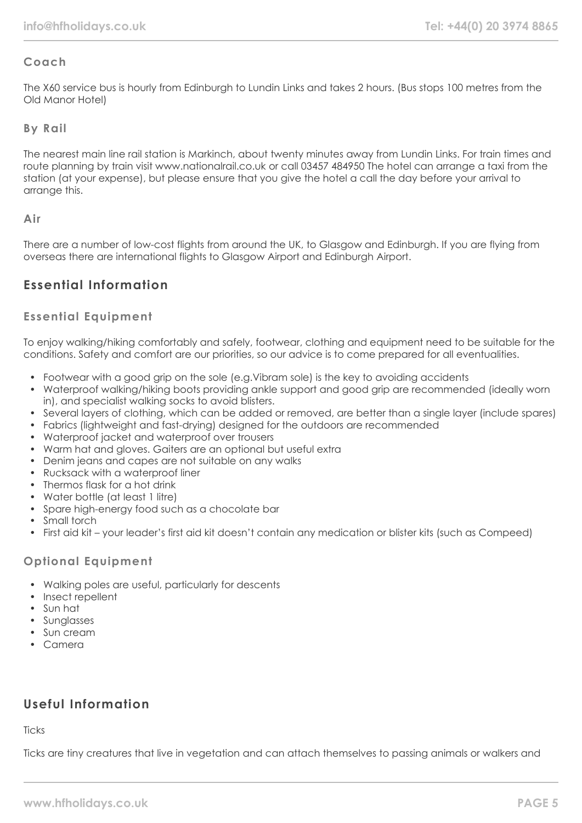## **Coach**

The X60 service bus is hourly from Edinburgh to Lundin Links and takes 2 hours. (Bus stops 100 metres from the Old Manor Hotel)

## **By Rail**

The nearest main line rail station is Markinch, about twenty minutes away from Lundin Links. For train times and route planning by train visit www.nationalrail.co.uk or call 03457 484950 The hotel can arrange a taxi from the station (at your expense), but please ensure that you give the hotel a call the day before your arrival to arrange this.

## **Air**

There are a number of low-cost flights from around the UK, to Glasgow and Edinburgh. If you are flying from overseas there are international flights to Glasgow Airport and Edinburgh Airport.

# **Essential Information**

## **Essential Equipment**

To enjoy walking/hiking comfortably and safely, footwear, clothing and equipment need to be suitable for the conditions. Safety and comfort are our priorities, so our advice is to come prepared for all eventualities.

- Footwear with a good grip on the sole (e.g.Vibram sole) is the key to avoiding accidents
- Waterproof walking/hiking boots providing ankle support and good grip are recommended (ideally worn in), and specialist walking socks to avoid blisters.
- Several layers of clothing, which can be added or removed, are better than a single layer (include spares)
- Fabrics (lightweight and fast-drying) designed for the outdoors are recommended
- Waterproof jacket and waterproof over trousers
- Warm hat and gloves. Gaiters are an optional but useful extra
- Denim jeans and capes are not suitable on any walks
- Rucksack with a waterproof liner
- Thermos flask for a hot drink
- Water bottle (at least 1 litre)
- Spare high-energy food such as a chocolate bar
- Small torch
- First aid kit your leader's first aid kit doesn't contain any medication or blister kits (such as Compeed)

## **Optional Equipment**

- Walking poles are useful, particularly for descents
- Insect repellent
- Sun hat
- Sunglasses
- Sun cream
- Camera

## **Useful Information**

**Ticks** 

Ticks are tiny creatures that live in vegetation and can attach themselves to passing animals or walkers and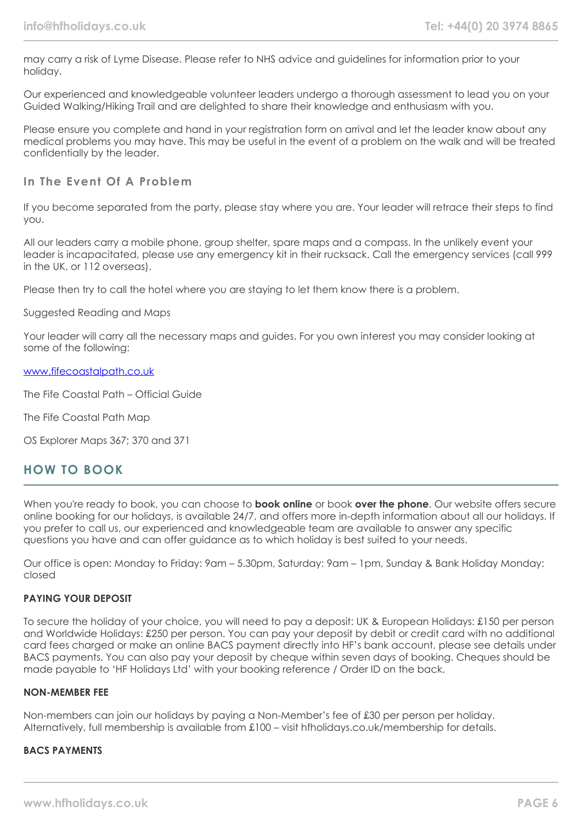may carry a risk of Lyme Disease. Please refer to NHS advice and guidelines for information prior to your holiday.

Our experienced and knowledgeable volunteer leaders undergo a thorough assessment to lead you on your Guided Walking/Hiking Trail and are delighted to share their knowledge and enthusiasm with you.

Please ensure you complete and hand in your registration form on arrival and let the leader know about any medical problems you may have. This may be useful in the event of a problem on the walk and will be treated confidentially by the leader.

## **In The Event Of A Problem**

If you become separated from the party, please stay where you are. Your leader will retrace their steps to find you.

All our leaders carry a mobile phone, group shelter, spare maps and a compass. In the unlikely event your leader is incapacitated, please use any emergency kit in their rucksack. Call the emergency services (call 999 in the UK, or 112 overseas).

Please then try to call the hotel where you are staying to let them know there is a problem.

#### Suggested Reading and Maps

Your leader will carry all the necessary maps and guides. For you own interest you may consider looking at some of the following:

#### [www.fifecoastalpath.co.uk](http://www.fifecoastalpath.co.uk/)

The Fife Coastal Path – Official Guide

The Fife Coastal Path Map

OS Explorer Maps 367; 370 and 371

## **HOW TO BOOK**

When you're ready to book, you can choose to **book online** or book **over the phone**. Our website offers secure online booking for our holidays, is available 24/7, and offers more in-depth information about all our holidays. If you prefer to call us, our experienced and knowledgeable team are available to answer any specific questions you have and can offer guidance as to which holiday is best suited to your needs.

Our office is open: Monday to Friday: 9am – 5.30pm, Saturday: 9am – 1pm, Sunday & Bank Holiday Monday: closed

## **PAYING YOUR DEPOSIT**

To secure the holiday of your choice, you will need to pay a deposit: UK & European Holidays: £150 per person and Worldwide Holidays: £250 per person. You can pay your deposit by debit or credit card with no additional card fees charged or make an online BACS payment directly into HF's bank account, please see details under BACS payments. You can also pay your deposit by cheque within seven days of booking. Cheques should be made payable to 'HF Holidays Ltd' with your booking reference / Order ID on the back.

#### **NON-MEMBER FEE**

Non-members can join our holidays by paying a Non-Member's fee of £30 per person per holiday. Alternatively, full membership is available from £100 – visit hfholidays.co.uk/membership for details.

#### **BACS PAYMENTS**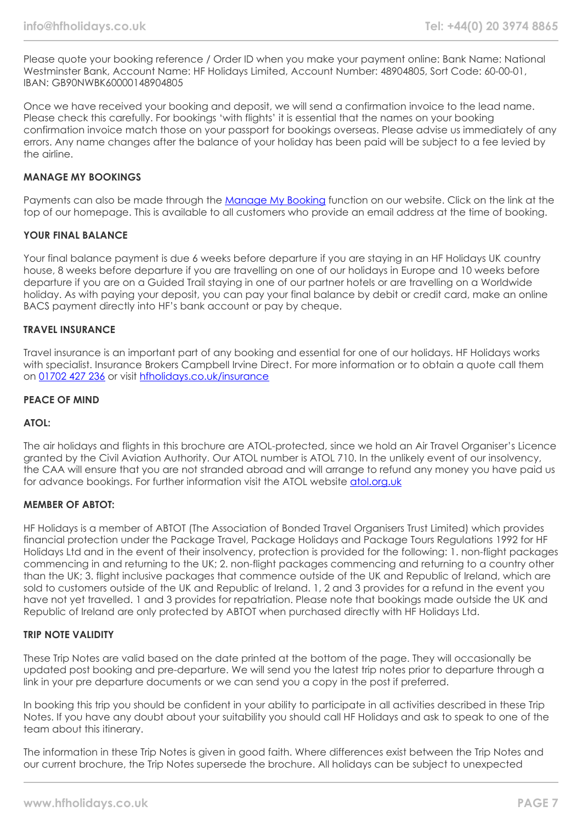Please quote your booking reference / Order ID when you make your payment online: Bank Name: National Westminster Bank, Account Name: HF Holidays Limited, Account Number: 48904805, Sort Code: 60-00-01, IBAN: GB90NWBK60000148904805

Once we have received your booking and deposit, we will send a confirmation invoice to the lead name. Please check this carefully. For bookings 'with flights' it is essential that the names on your booking confirmation invoice match those on your passport for bookings overseas. Please advise us immediately of any errors. Any name changes after the balance of your holiday has been paid will be subject to a fee levied by the airline.

## **MANAGE MY BOOKINGS**

Payments can also be made through the [Manage My Booking](https://www.hfholidays.co.uk/about-us/bookings/my-booking) function on our website. Click on the link at the top of our homepage. This is available to all customers who provide an email address at the time of booking.

#### **YOUR FINAL BALANCE**

Your final balance payment is due 6 weeks before departure if you are staying in an HF Holidays UK country house, 8 weeks before departure if you are travelling on one of our holidays in Europe and 10 weeks before departure if you are on a Guided Trail staying in one of our partner hotels or are travelling on a Worldwide holiday. As with paying your deposit, you can pay your final balance by debit or credit card, make an online BACS payment directly into HF's bank account or pay by cheque.

#### **TRAVEL INSURANCE**

Travel insurance is an important part of any booking and essential for one of our holidays. HF Holidays works with specialist. Insurance Brokers Campbell Irvine Direct. For more information or to obtain a quote call them on [01702 427 236](tel:01702427236) or visit [hfholidays.co.uk/insurance](https://www.hfholidays.co.uk/about-us/bookings/insurance)

#### **PEACE OF MIND**

#### **ATOL:**

The air holidays and flights in this brochure are ATOL-protected, since we hold an Air Travel Organiser's Licence granted by the Civil Aviation Authority. Our ATOL number is ATOL 710. In the unlikely event of our insolvency, the CAA will ensure that you are not stranded abroad and will arrange to refund any money you have paid us for advance bookings. For further information visit the ATOL website [atol.org.uk](https://www.atol.org/)

#### **MEMBER OF ABTOT:**

HF Holidays is a member of ABTOT (The Association of Bonded Travel Organisers Trust Limited) which provides financial protection under the Package Travel, Package Holidays and Package Tours Regulations 1992 for HF Holidays Ltd and in the event of their insolvency, protection is provided for the following: 1. non-flight packages commencing in and returning to the UK; 2. non-flight packages commencing and returning to a country other than the UK; 3. flight inclusive packages that commence outside of the UK and Republic of Ireland, which are sold to customers outside of the UK and Republic of Ireland. 1, 2 and 3 provides for a refund in the event you have not yet travelled. 1 and 3 provides for repatriation. Please note that bookings made outside the UK and Republic of Ireland are only protected by ABTOT when purchased directly with HF Holidays Ltd.

#### **TRIP NOTE VALIDITY**

These Trip Notes are valid based on the date printed at the bottom of the page. They will occasionally be updated post booking and pre-departure. We will send you the latest trip notes prior to departure through a link in your pre departure documents or we can send you a copy in the post if preferred.

In booking this trip you should be confident in your ability to participate in all activities described in these Trip Notes. If you have any doubt about your suitability you should call HF Holidays and ask to speak to one of the team about this itinerary.

The information in these Trip Notes is given in good faith. Where differences exist between the Trip Notes and our current brochure, the Trip Notes supersede the brochure. All holidays can be subject to unexpected